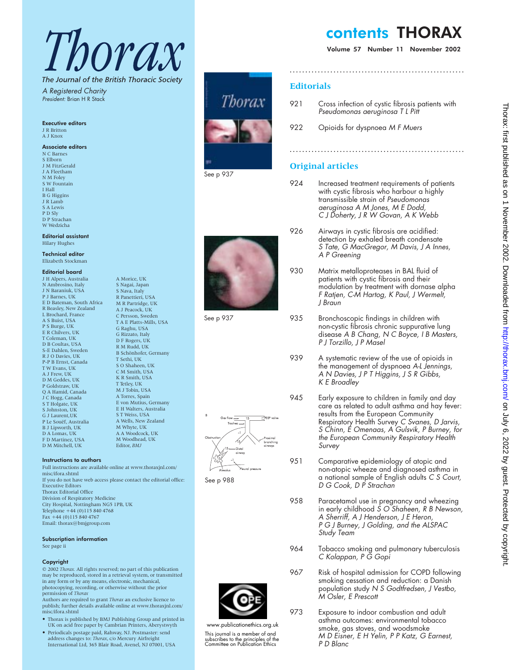# Thorax

The Journal of the British Thoracic Society A Registered Charity

> A Morice, UK S Nagai, Japan S Nava, Italy R Panettieri, USA M R Partridge, UK A J Peacock, UK C Persson, Sweden T A E Platts-Mills, USA G Raghu, USA G Rizzato, Italy D F Rogers, UK R M Rudd, UK B Schönhofer, Germany T Sethi, UK S O Shaheen, UK C M Smith, USA K R Smith, USA T Tetley, UK M J Tobin, USA A Torres, Spain E von Mutius, Germany E H Walters, Australia S T Weiss, USA A Wells, New Zealand M Whyte, UK A A Woodcock, UK M Woodhead, UK Editor, *BMJ*

President: Brian H R Stack

### Executive editors

J R Britton A J Knox

## Associate editors

N C Barnes S Elborn J M FitzGerald J A Fleetham N M Foley S W Fountain I Hall B G Higgins J R Lamb S A Lewis P D Sly D P Strachan W Wedzicha

Editorial assistant Hilary Hughes

#### Technical editor Elizabeth Stockman

#### Editorial board

J H Alpers, Australia N Ambrosino, Italy J N Baraniuk, USA P J Barnes, UK E D Bateman, South Africa R Beasley, New Zealand L Brochard, France A S Buist, USA P S Burge, UK E R Chilvers, UK T Coleman, UK D B Coultas, USA S-E Dahlen, Sweden R J O Davies, UK P-P B Ernst, Canada T W Evans, UK A J Frew, UK D M Geddes, UK P Goldstraw, UK Q A Hamid, Canada J C Hogg, Canada S T Holgate, UK S Johnston, UK G J Laurent,UK P Le Souëf, Australia B J Lipworth, UK D A Lomas, UK F D Martinez, USA D M Mitchell, UK

#### Instructions to authors

Full instructions are available online at www.thoraxjnl.com/ misc/ifora.shtml If you do not have web access please contact the editorial office: Executive Editors Thorax Editorial Office Division of Respiratory Medicine City Hospital, Nottingham NG5 1PB, UK Telephone +44 (0)115 840 4768 Fax +44 (0)115 840 4767 Email: thorax@bmjgroup.com

# Subscription information

See page ii

#### Copyright

© 2002 *Thorax.* All rights reserved; no part of this publication may be reproduced, stored in a retrieval system, or transmitted in any form or by any means, electronic, mechanical, photocopying, recording, or otherwise without the prior permission of *Thorax*

Authors are required to grant *Thorax* an exclusive licence to publish; further details available online at www.thoraxjnl.com/ misc/ifora.shtml

- Thorax is published by BMJ Publishing Group and printed in UK on acid free paper by Cambrian Printers, Aberystwyth
- Periodicals postage paid, Rahway, NJ. Postmaster: send address changes to: *Thorax*, c/o Mercury Airfreight International Ltd, 365 Blair Road, Avenel, NJ 07001, USA







See p 937



See p 988



www.publicationethics.org.uk This journal is a member of and subscribes to the principles of the Committee on Publication Ethics

# contents THORAX

Volume 57 Number 11 November 2002

# **Editorials**

921 Cross infection of cystic fibrosis patients with Pseudomonas aeruginosa <sup>T</sup> <sup>L</sup> Pitt

**........................................................**

**........................................................**

922 Opioids for dyspnoea M F Muers

# **Original articles**

- 924 Increased treatment requirements of patients with cystic fibrosis who harbour a highly transmissible strain of Pseudomonas aeruginosa A M Jones, M <sup>E</sup> Dodd, C J Doherty, J <sup>R</sup> W Govan, A <sup>K</sup> Webb
- 926 Airways in cystic fibrosis are acidified: detection by exhaled breath condensate S Tate, G MacGregor, M Davis, J A Innes, A P Greening
- 930 Matrix metalloproteases in BAL fluid of patients with cystic fibrosis and their modulation by treatment with dornase alpha <sup>F</sup> Ratjen, C-M Hartog, <sup>K</sup> Paul, J Wermelt, J Braun
- 935 Bronchoscopic findings in children with non-cystic fibrosis chronic suppurative lung disease A <sup>B</sup> Chang, N C Boyce, <sup>I</sup> <sup>B</sup> Masters, P J Torzillo, J P Masel
- 939 A systematic review of the use of opioids in the management of dyspnoea A-L Jennings, A N Davies,JPTHiggins, J S <sup>R</sup> Gibbs, <sup>K</sup> <sup>E</sup> Broadley
- 945 Early exposure to children in family and day care as related to adult asthma and hay fever: results from the European Community Respiratory Health Survey C Svanes, D Jarvis, S Chinn, <sup>E</sup> Omenaas, A Gulsvik, <sup>P</sup> Burney, for the European Community Respiratory Health Survey
- 951 Comparative epidemiology of atopic and non-atopic wheeze and diagnosed asthma in a national sample of English adults C S Court, D G Cook, D P Strachan
- 958 Paracetamol use in pregnancy and wheezing in early childhood S O Shaheen, R B Newson, A Sherriff, A J Henderson, J E Heron, P G J Burney, J Golding, and the ALSPAC Study Team
- 964 Tobacco smoking and pulmonary tuberculosis C Kolappan, <sup>P</sup> G Gopi
- 967 Risk of hospital admission for COPD following smoking cessation and reduction: a Danish population study N S Godtfredsen, J Vestbo, M Osler, E Prescott
- 973 Exposure to indoor combustion and adult asthma outcomes: environmental tobacco smoke, gas stoves, and woodsmoke M D Eisner, E H Yelin, P P Katz, G Earnest, P D Blanc